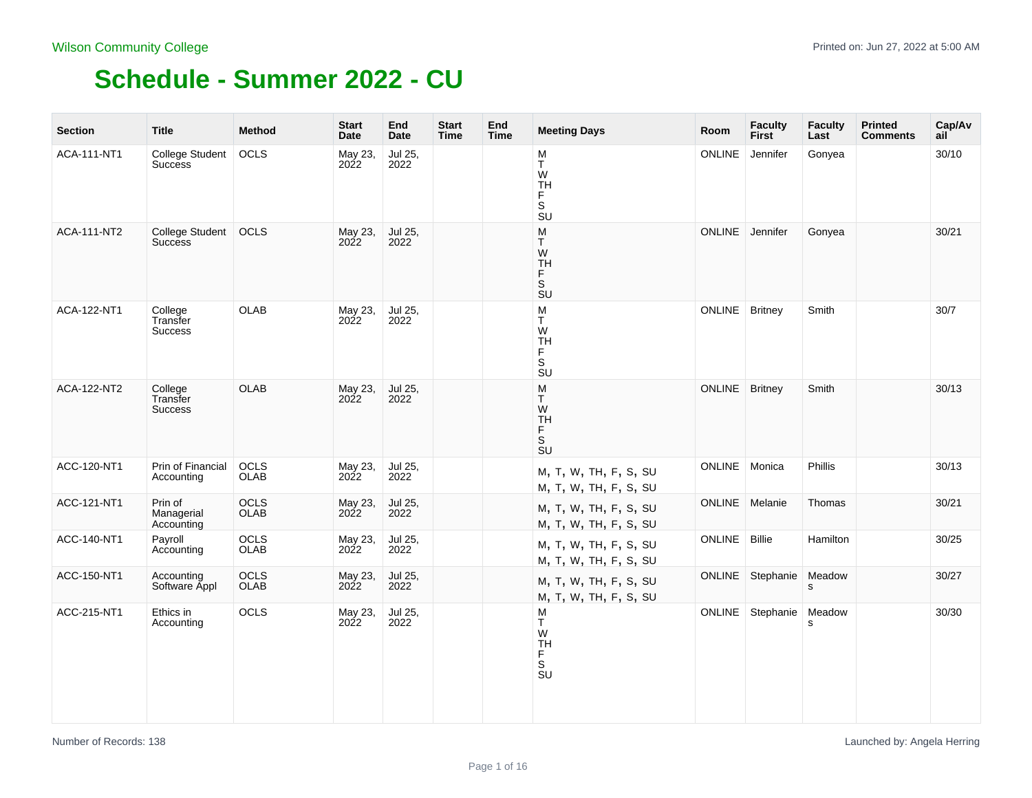| <b>Section</b> | <b>Title</b>                             | <b>Method</b>       | <b>Start</b><br>Date | End<br>Date     | <b>Start</b><br>Time | End<br>Time | <b>Meeting Days</b>                                                                                    | Room          | <b>Faculty</b><br><b>First</b> | <b>Faculty</b><br>Last | <b>Printed</b><br><b>Comments</b> | Cap/Av<br>ail |
|----------------|------------------------------------------|---------------------|----------------------|-----------------|----------------------|-------------|--------------------------------------------------------------------------------------------------------|---------------|--------------------------------|------------------------|-----------------------------------|---------------|
| ACA-111-NT1    | <b>College Student</b><br><b>Success</b> | OCLS                | May 23,<br>2022      | Jul 25,<br>2022 |                      |             | M<br>Т<br>W<br><b>TH</b><br>F<br>S<br><b>SU</b>                                                        | <b>ONLINE</b> | Jennifer                       | Gonyea                 |                                   | 30/10         |
| ACA-111-NT2    | College Student<br><b>Success</b>        | OCLS                | May 23,<br>2022      | Jul 25,<br>2022 |                      |             | ${\sf M}$<br>T.<br>W<br><b>TH</b><br>Ë<br>$\overline{\mathsf{s}}$<br>$\overline{\mathsf{S}}\mathsf{U}$ | ONLINE        | Jennifer                       | Gonyea                 |                                   | 30/21         |
| ACA-122-NT1    | College<br>Transfer<br><b>Success</b>    | OLAB                | May 23,<br>2022      | Jul 25,<br>2022 |                      |             | M<br>T<br>W<br>TH<br>$_{\rm S}^{\rm F}$<br>SU                                                          | ONLINE        | <b>Britney</b>                 | Smith                  |                                   | 30/7          |
| ACA-122-NT2    | College<br>Transfer<br>Success           | OLAB                | May 23,<br>2022      | Jul 25,<br>2022 |                      |             | ${\sf M}$<br>Т<br>W<br>TH<br>F<br>S<br><b>SU</b>                                                       | <b>ONLINE</b> | <b>Britney</b>                 | Smith                  |                                   | 30/13         |
| ACC-120-NT1    | Prin of Financial<br>Accounting          | OCLS<br>OLAB        | May 23,<br>2022      | Jul 25,<br>2022 |                      |             | M, T, W, TH, F, S, SU<br>M, T, W, TH, F, S, SU                                                         | ONLINE        | Monica                         | <b>Phillis</b>         |                                   | 30/13         |
| ACC-121-NT1    | Prin of<br>Managerial<br>Accounting      | OCLS<br>OLAB        | May 23,<br>2022      | Jul 25,<br>2022 |                      |             | M, T, W, TH, F, S, SU<br>M, T, W, TH, F, S, SU                                                         | ONLINE        | Melanie                        | Thomas                 |                                   | 30/21         |
| ACC-140-NT1    | Payroll<br>Accounting                    | <b>OCLS</b><br>OLAB | May 23,<br>2022      | Jul 25,<br>2022 |                      |             | M, T, W, TH, F, S, SU<br>M, T, W, TH, F, S, SU                                                         | ONLINE        | Billie                         | Hamilton               |                                   | 30/25         |
| ACC-150-NT1    | Accounting<br>Software Appl              | OCLS<br>OLAB        | May 23,<br>2022      | Jul 25,<br>2022 |                      |             | M, T, W, TH, F, S, SU<br>M, T, W, TH, F, S, SU                                                         | <b>ONLINE</b> | Stephanie                      | Meadow<br>s            |                                   | 30/27         |
| ACC-215-NT1    | Ethics in<br>Accounting                  | OCLS                | May 23,<br>2022      | Jul 25,<br>2022 |                      |             | M<br>T<br>W<br><b>TH</b><br>F<br>s<br>su                                                               | ONLINE        | Stephanie                      | Meadow<br>s            |                                   | 30/30         |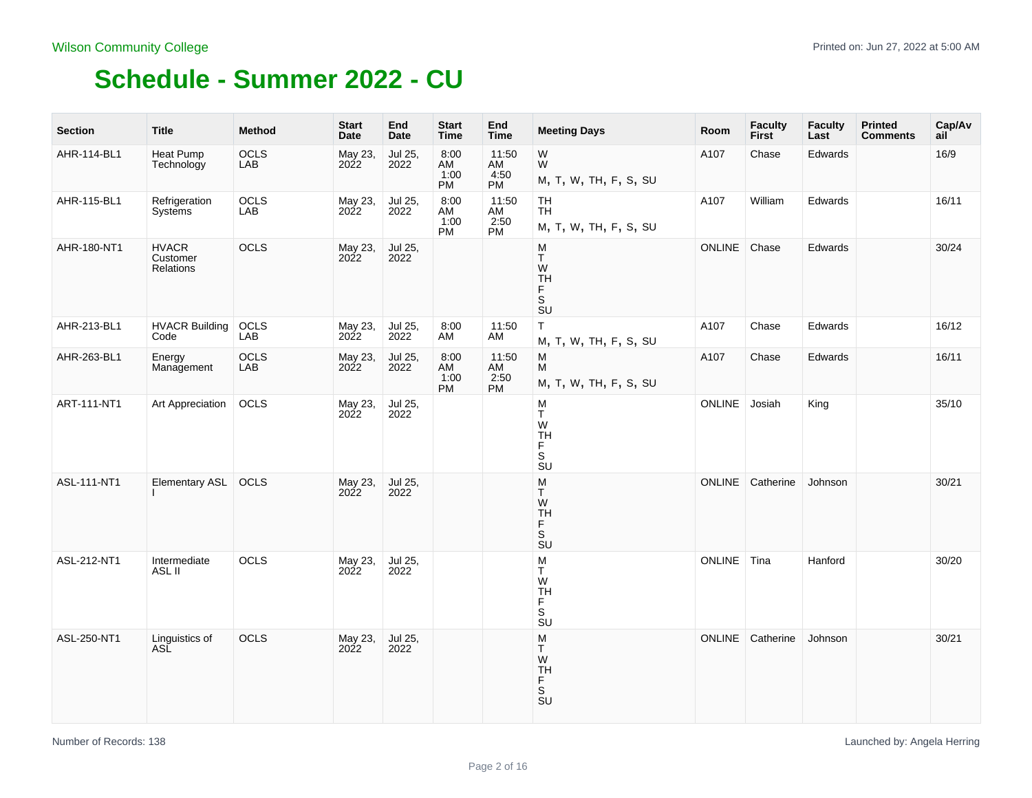| <b>Section</b> | <b>Title</b>                          | <b>Method</b>      | <b>Start</b><br><b>Date</b> | End<br>Date     | <b>Start</b><br>Time     | End<br><b>Time</b>                      | <b>Meeting Days</b>                                                                        | Room          | <b>Faculty</b><br><b>First</b> | <b>Faculty</b><br>Last | <b>Printed</b><br><b>Comments</b> | Cap/Av<br>ail |
|----------------|---------------------------------------|--------------------|-----------------------------|-----------------|--------------------------|-----------------------------------------|--------------------------------------------------------------------------------------------|---------------|--------------------------------|------------------------|-----------------------------------|---------------|
| AHR-114-BL1    | Heat Pump<br>Technology               | OCLS<br>LAB        | May 23,<br>2022             | Jul 25,<br>2022 | 8:00<br>AM<br>1:00<br>PM | 11:50<br>AM<br>4:50<br>PM               | W<br>W.<br>M, T, W, TH, F, S, SU                                                           | A107          | Chase                          | Edwards                |                                   | 16/9          |
| AHR-115-BL1    | Refrigeration<br>Systems              | OCLS<br>LAB        | May 23,<br>2022             | Jul 25,<br>2022 | 8:00<br>AM<br>1:00<br>PM | 11:50<br>AM<br>2:50<br>PM               | TH<br><b>TH</b><br>M, T, W, TH, F, S, SU                                                   | A107          | William                        | Edwards                |                                   | 16/11         |
| AHR-180-NT1    | <b>HVACR</b><br>Customer<br>Relations | OCLS               | May 23,<br>2022             | Jul 25,<br>2022 |                          |                                         | M<br>$\top$<br>W<br><b>TH</b><br>$\bar{F}$<br>SU                                           | ONLINE        | Chase                          | Edwards                |                                   | 30/24         |
| AHR-213-BL1    | <b>HVACR Building</b><br>Code         | OCLS<br>LAB        | May 23,<br>2022             | Jul 25,<br>2022 | 8:00<br>AM               | 11:50<br>AM                             | $\sf T$<br>M, T, W, TH, F, S, SU                                                           | A107          | Chase                          | Edwards                |                                   | 16/12         |
| AHR-263-BL1    | Energy<br>Management                  | <b>OCLS</b><br>LAB | May 23,<br>2022             | Jul 25,<br>2022 | 8:00<br>AM<br>1:00<br>PM | 11:50<br>$\frac{\text{AM}}{2.50}$<br>PM | M<br>$\overline{M}$<br>M, T, W, TH, F, S, SU                                               | A107          | Chase                          | Edwards                |                                   | 16/11         |
| ART-111-NT1    | Art Appreciation                      | OCLS               | May 23,<br>2022             | Jul 25,<br>2022 |                          |                                         | $_{\rm T}^{\rm M}$<br>W<br><b>TH</b><br>$_{\rm S}^{\rm F}$<br><b>SU</b>                    | ONLINE        | Josiah                         | King                   |                                   | 35/10         |
| ASL-111-NT1    | Elementary ASL                        | OCLS               | May 23,<br>2022             | Jul 25,<br>2022 |                          |                                         | M<br>T.<br>W<br><b>TH</b><br>F<br>$\overline{\mathsf{s}}$<br>$\overline{\text{S}}\text{U}$ | <b>ONLINE</b> | Catherine                      | Johnson                |                                   | 30/21         |
| ASL-212-NT1    | Intermediate<br>ASL II                | OCLS               | May 23,<br>2022             | Jul 25,<br>2022 |                          |                                         | M<br>Τ<br>W<br>TH<br>F<br>S<br>$\overline{\mathsf{S}}\mathsf{U}$                           | ONLINE Tina   |                                | Hanford                |                                   | 30/20         |
| ASL-250-NT1    | Linguistics of<br>ASĽ                 | OCLS               | May 23,<br>2022             | Jul 25,<br>2022 |                          |                                         | M<br>Τ<br>W<br>TH<br>S<br>S<br>U                                                           | <b>ONLINE</b> | Catherine                      | Johnson                |                                   | 30/21         |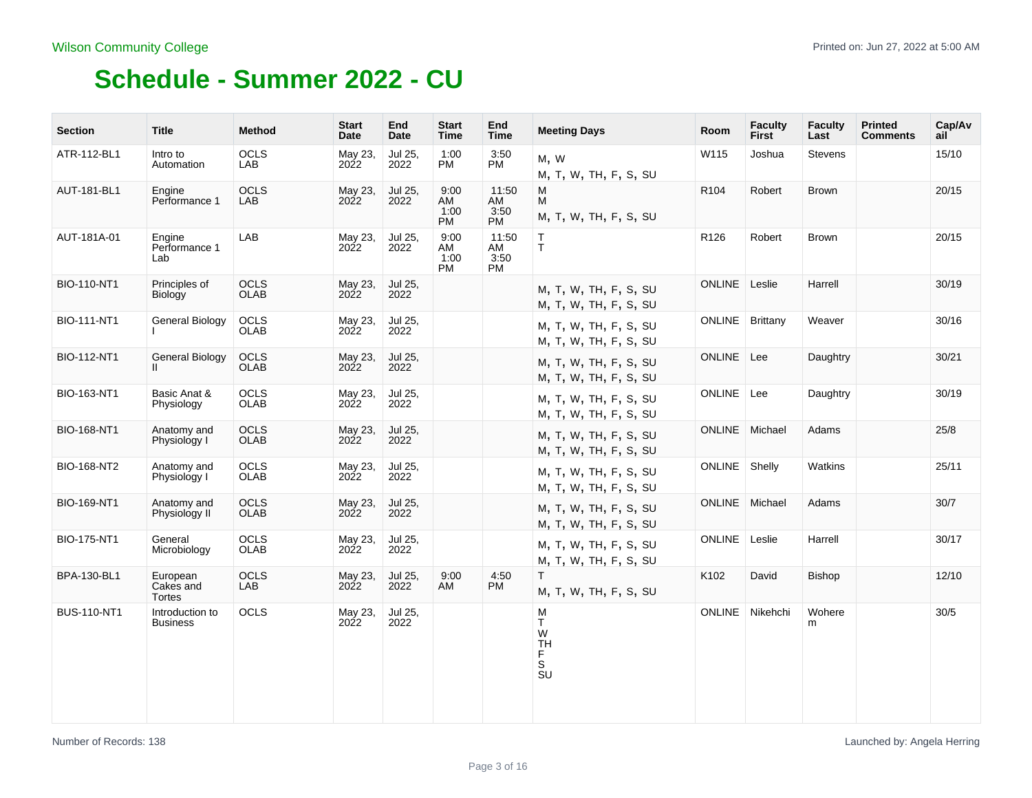| <b>Section</b>     | <b>Title</b>                       | <b>Method</b>       | <b>Start</b><br>Date | End<br>Date     | <b>Start</b><br>Time            | End<br><b>Time</b>               | <b>Meeting Days</b>                                                       | <b>Room</b>      | <b>Faculty</b><br>First | <b>Faculty</b><br>Last | <b>Printed</b><br><b>Comments</b> | Cap/Av<br>ail |
|--------------------|------------------------------------|---------------------|----------------------|-----------------|---------------------------------|----------------------------------|---------------------------------------------------------------------------|------------------|-------------------------|------------------------|-----------------------------------|---------------|
| ATR-112-BL1        | Intro to<br>Automation             | <b>OCLS</b><br>LAB  | May 23,<br>2022      | Jul 25,<br>2022 | 1:00<br>PM                      | 3:50<br><b>PM</b>                | M, W<br>M, T, W, TH, F, S, SU                                             | W115             | Joshua                  | Stevens                |                                   | 15/10         |
| AUT-181-BL1        | Engine<br>Performance 1            | OCLS<br>LAB         | May 23,<br>2022      | Jul 25,<br>2022 | 9:00<br>AM<br>1:00<br><b>PM</b> | 11:50<br>AM<br>3:50<br><b>PM</b> | M<br>M<br>M, T, W, TH, F, S, SU                                           | R104             | Robert                  | <b>Brown</b>           |                                   | 20/15         |
| AUT-181A-01        | Engine<br>Performance 1<br>Lab     | LAB                 | May 23,<br>2022      | Jul 25,<br>2022 | 9:00<br>AM<br>1:00<br>PM        | 11:50<br>AM<br>3:50<br><b>PM</b> | T.<br>T.                                                                  | R <sub>126</sub> | Robert                  | <b>Brown</b>           |                                   | 20/15         |
| BIO-110-NT1        | Principles of<br>Biology           | OCLS<br><b>OLAB</b> | May 23,<br>2022      | Jul 25,<br>2022 |                                 |                                  | M, T, W, TH, F, S, SU<br>M, T, W, TH, F, S, SU                            | ONLINE Leslie    |                         | Harrell                |                                   | 30/19         |
| <b>BIO-111-NT1</b> | General Biology                    | OCLS<br><b>OLAB</b> | May 23,<br>2022      | Jul 25,<br>2022 |                                 |                                  | M, T, W, TH, F, S, SU<br>M, T, W, TH, F, S, SU                            | ONLINE Brittany  |                         | Weaver                 |                                   | 30/16         |
| <b>BIO-112-NT1</b> | <b>General Biology</b>             | OCLS<br><b>OLAB</b> | May 23,<br>2022      | Jul 25,<br>2022 |                                 |                                  | M, T, W, TH, F, S, SU<br>M, T, W, TH, F, S, SU                            | ONLINE Lee       |                         | Daughtry               |                                   | 30/21         |
| BIO-163-NT1        | Basic Anat &<br>Physiology         | OCLS<br>OLAB        | May 23,<br>2022      | Jul 25,<br>2022 |                                 |                                  | M, T, W, TH, F, S, SU<br>M, T, W, TH, F, S, SU                            | ONLINE Lee       |                         | Daughtry               |                                   | 30/19         |
| <b>BIO-168-NT1</b> | Anatomy and<br>Physiology I        | OCLS<br><b>OLAB</b> | May 23,<br>2022      | Jul 25,<br>2022 |                                 |                                  | M, T, W, TH, F, S, SU<br>M, T, W, TH, F, S, SU                            | ONLINE Michael   |                         | Adams                  |                                   | 25/8          |
| <b>BIO-168-NT2</b> | Anatomy and<br>Physiology I        | OCLS<br>OLAB        | May 23,<br>2022      | Jul 25,<br>2022 |                                 |                                  | M, T, W, TH, F, S, SU<br>M, T, W, TH, F, S, SU                            | ONLINE Shelly    |                         | Watkins                |                                   | 25/11         |
| BIO-169-NT1        | Anatomy and<br>Physiology II       | OCLS<br><b>OLAB</b> | May 23,<br>2022      | Jul 25,<br>2022 |                                 |                                  | M, T, W, TH, F, S, SU<br>M, T, W, TH, F, S, SU                            | ONLINE Michael   |                         | Adams                  |                                   | 30/7          |
| BIO-175-NT1        | General<br>Microbiology            | <b>OCLS</b><br>OLAB | May 23,<br>2022      | Jul 25,<br>2022 |                                 |                                  | M, T, W, TH, F, S, SU<br>M, T, W, TH, F, S, SU                            | ONLINE Leslie    |                         | Harrell                |                                   | 30/17         |
| BPA-130-BL1        | European<br>Cakes and<br>Tortes    | <b>OCLS</b><br>LAB  | May 23,<br>2022      | Jul 25,<br>2022 | 9:00<br>AM                      | 4:50<br>PM                       | T.<br>M, T, W, TH, F, S, SU                                               | K102             | David                   | <b>Bishop</b>          |                                   | 12/10         |
| <b>BUS-110-NT1</b> | Introduction to<br><b>Business</b> | OCLS                | May 23,<br>2022      | Jul 25,<br>2022 |                                 |                                  | M<br>T.<br>W<br><b>TH</b><br>F.<br>S<br>$\overline{\mathsf{S}}\mathsf{U}$ |                  | ONLINE Nikehchi         | Wohere<br>m            |                                   | 30/5          |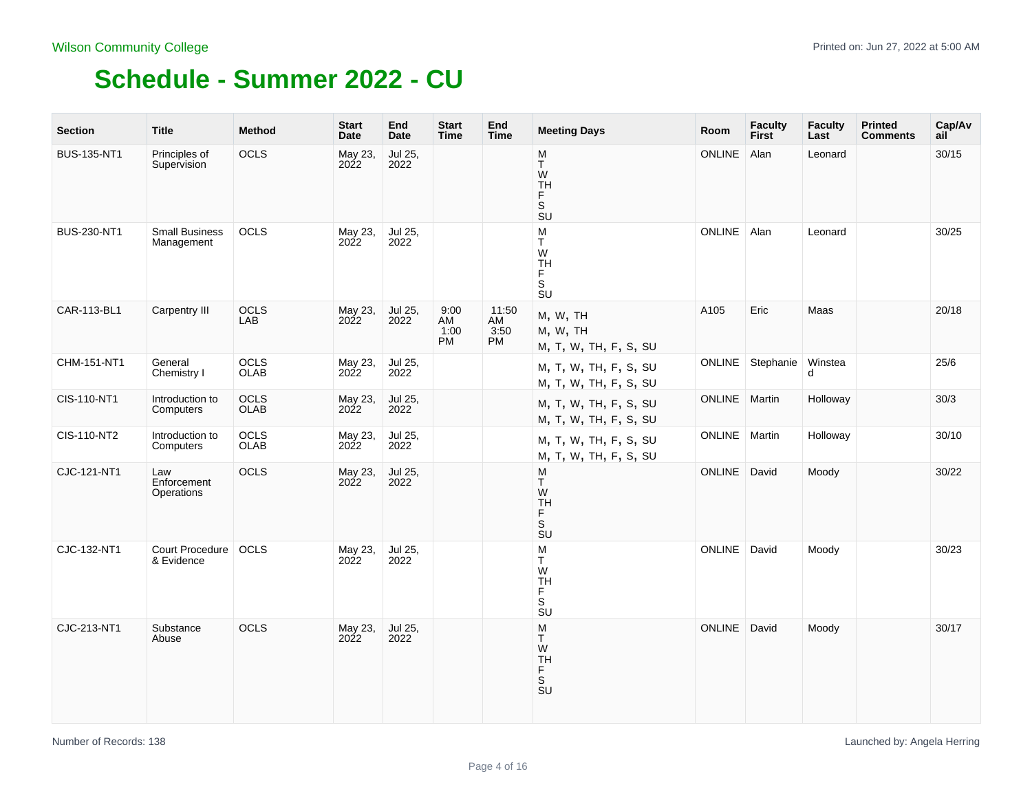| <b>Section</b>     | <b>Title</b>                        | <b>Method</b>       | <b>Start</b><br><b>Date</b> | End<br><b>Date</b> | <b>Start</b><br><b>Time</b> | End<br><b>Time</b>        | <b>Meeting Days</b>                                                         | Room          | <b>Faculty</b><br><b>First</b> | <b>Faculty</b><br>Last | <b>Printed</b><br><b>Comments</b> | Cap/Av<br>ail |
|--------------------|-------------------------------------|---------------------|-----------------------------|--------------------|-----------------------------|---------------------------|-----------------------------------------------------------------------------|---------------|--------------------------------|------------------------|-----------------------------------|---------------|
| <b>BUS-135-NT1</b> | Principles of<br>Supervision        | OCLS                | May 23,<br>2022             | Jul 25,<br>2022    |                             |                           | ${\sf M}$<br>T<br>W<br>TH<br>F<br>$\overline{\mathsf{s}}$<br><b>SU</b>      | ONLINE        | Alan                           | Leonard                |                                   | 30/15         |
| BUS-230-NT1        | <b>Small Business</b><br>Management | OCLS                | May 23,<br>2022             | Jul 25,<br>2022    |                             |                           | M<br>T<br>W<br>TH<br>F<br>.<br>S<br>$\overline{\mathsf{S}}\mathsf{U}$       | <b>ONLINE</b> | Alan                           | Leonard                |                                   | 30/25         |
| CAR-113-BL1        | Carpentry III                       | <b>OCLS</b><br>LAB  | May 23,<br>2022             | Jul 25,<br>2022    | 9:00<br>AM<br>1:00<br>PM    | 11:50<br>AM<br>3:50<br>PM | M, W, TH<br>M, W, TH<br>M, T, W, TH, F, S, SU                               | A105          | Eric                           | Maas                   |                                   | 20/18         |
| CHM-151-NT1        | General<br>Chemistry I              | OCLS<br>OLAB        | May 23,<br>2022             | Jul 25,<br>2022    |                             |                           | M, T, W, TH, F, S, SU<br>M, T, W, TH, F, S, SU                              | ONLINE        | Stephanie                      | Winstea<br>d           |                                   | 25/6          |
| CIS-110-NT1        | Introduction to<br>Computers        | OCLS<br>OLAB        | May 23,<br>2022             | Jul 25,<br>2022    |                             |                           | M, T, W, TH, F, S, SU<br>M, T, W, TH, F, S, SU                              | ONLINE Martin |                                | Holloway               |                                   | 30/3          |
| CIS-110-NT2        | Introduction to<br>Computers        | OCLS<br><b>OLAB</b> | May 23,<br>2022             | Jul 25,<br>2022    |                             |                           | M, T, W, TH, F, S, SU<br>M, T, W, TH, F, S, SU                              | ONLINE        | Martin                         | Holloway               |                                   | 30/10         |
| CJC-121-NT1        | Law<br>Enforcement<br>Operations    | OCLS                | May 23,<br>2022             | Jul 25,<br>2022    |                             |                           | M<br>T<br>W<br>TH<br>F.<br>$\overline{\mathbf{s}}$<br>$\overline{S}U$       | <b>ONLINE</b> | David                          | Moody                  |                                   | 30/22         |
| CJC-132-NT1        | Court Procedure<br>& Evidence       | OCLS                | May 23,<br>2022             | Jul 25,<br>2022    |                             |                           | M<br>T.<br>W<br>TH<br>F<br>$\mathbb S$<br>$\overline{\mathsf{s}}\mathsf{u}$ | ONLINE        | David                          | Moody                  |                                   | 30/23         |
| CJC-213-NT1        | Substance<br>Abuse                  | OCLS                | May 23,<br>2022             | Jul 25,<br>2022    |                             |                           | ${\sf M}$<br>T.<br>W<br><b>TH</b><br>F<br>S<br>SU                           | ONLINE        | David                          | Moody                  |                                   | 30/17         |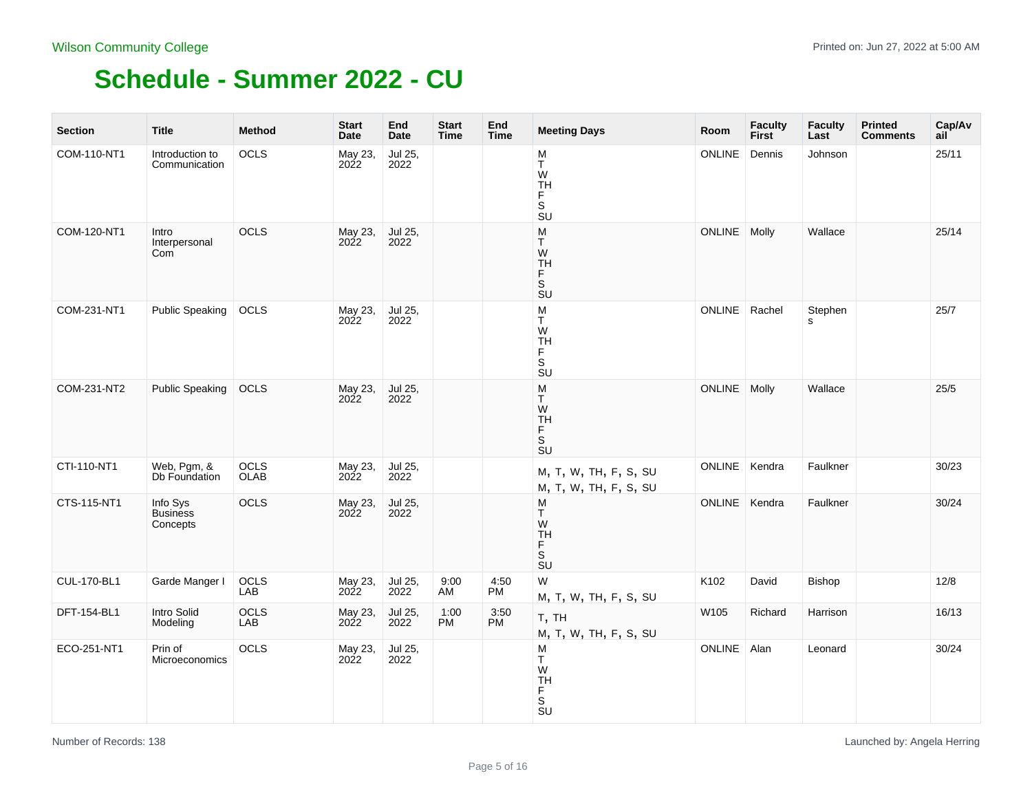| <b>Section</b>     | <b>Title</b>                            | Method              | <b>Start</b><br>Date | End<br>Date     | <b>Start</b><br>Time | End<br><b>Time</b> | <b>Meeting Days</b>                                                           | Room            | <b>Faculty</b><br><b>First</b> | <b>Faculty</b><br>Last | <b>Printed</b><br><b>Comments</b> | Cap/Av<br>ail |
|--------------------|-----------------------------------------|---------------------|----------------------|-----------------|----------------------|--------------------|-------------------------------------------------------------------------------|-----------------|--------------------------------|------------------------|-----------------------------------|---------------|
| COM-110-NT1        | Introduction to<br>Communication        | OCLS                | May 23,<br>2022      | Jul 25,<br>2022 |                      |                    | M<br>T<br>W<br>TH<br>F<br>S<br><b>SU</b>                                      | <b>ONLINE</b>   | Dennis                         | Johnson                |                                   | 25/11         |
| COM-120-NT1        | Intro<br>Interpersonal<br>Com           | OCLS                | May 23,<br>2022      | Jul 25,<br>2022 |                      |                    | M<br>T.<br>W<br>TH<br>F<br>.<br>Su                                            | <b>ONLINE</b>   | Molly                          | Wallace                |                                   | 25/14         |
| COM-231-NT1        | <b>Public Speaking</b>                  | <b>OCLS</b>         | May 23,<br>2022      | Jul 25,<br>2022 |                      |                    | M<br>T.<br>W<br>TH<br>$_{\rm S}^{\rm F}$<br>$\overline{\mathsf{S}}\mathsf{U}$ | ONLINE   Rachel |                                | Stephen<br>s           |                                   | 25/7          |
| COM-231-NT2        | <b>Public Speaking</b>                  | OCLS                | May 23,<br>2022      | Jul 25,<br>2022 |                      |                    | ${\sf M}$<br>Т<br>W<br>TH<br>F<br>S<br>SU                                     | <b>ONLINE</b>   | Molly                          | Wallace                |                                   | 25/5          |
| CTI-110-NT1        | Web, Pgm, &<br>Db Foundation            | OCLS<br><b>OLAB</b> | May 23,<br>2022      | Jul 25,<br>2022 |                      |                    | M, T, W, TH, F, S, SU<br>M, T, W, TH, F, S, SU                                | ONLINE          | Kendra                         | Faulkner               |                                   | 30/23         |
| CTS-115-NT1        | Info Sys<br><b>Business</b><br>Concepts | OCLS                | May 23,<br>2022      | Jul 25,<br>2022 |                      |                    | M<br>T.<br>$W$<br>TH<br>$\frac{F}{S}$                                         | ONLINE          | Kendra                         | Faulkner               |                                   | 30/24         |
| <b>CUL-170-BL1</b> | Garde Manger I                          | OCLS<br>LAB         | May 23,<br>2022      | Jul 25,<br>2022 | 9:00<br>AM           | 4:50<br><b>PM</b>  | W<br>M, T, W, TH, F, S, SU                                                    | K102            | David                          | Bishop                 |                                   | 12/8          |
| DFT-154-BL1        | Intro Solid<br>Modeling                 | OCLS<br>LAB         | May 23,<br>2022      | Jul 25,<br>2022 | 1:00<br>PM           | 3:50<br><b>PM</b>  | T, TH<br>M, T, W, TH, F, S, SU                                                | W105            | Richard                        | Harrison               |                                   | 16/13         |
| ECO-251-NT1        | Prin of<br>Microeconomics               | OCLS                | May 23,<br>2022      | Jul 25,<br>2022 |                      |                    | M<br>Τ<br>W<br>TH<br>F<br>S<br>SU                                             | ONLINE          | Alan                           | Leonard                |                                   | 30/24         |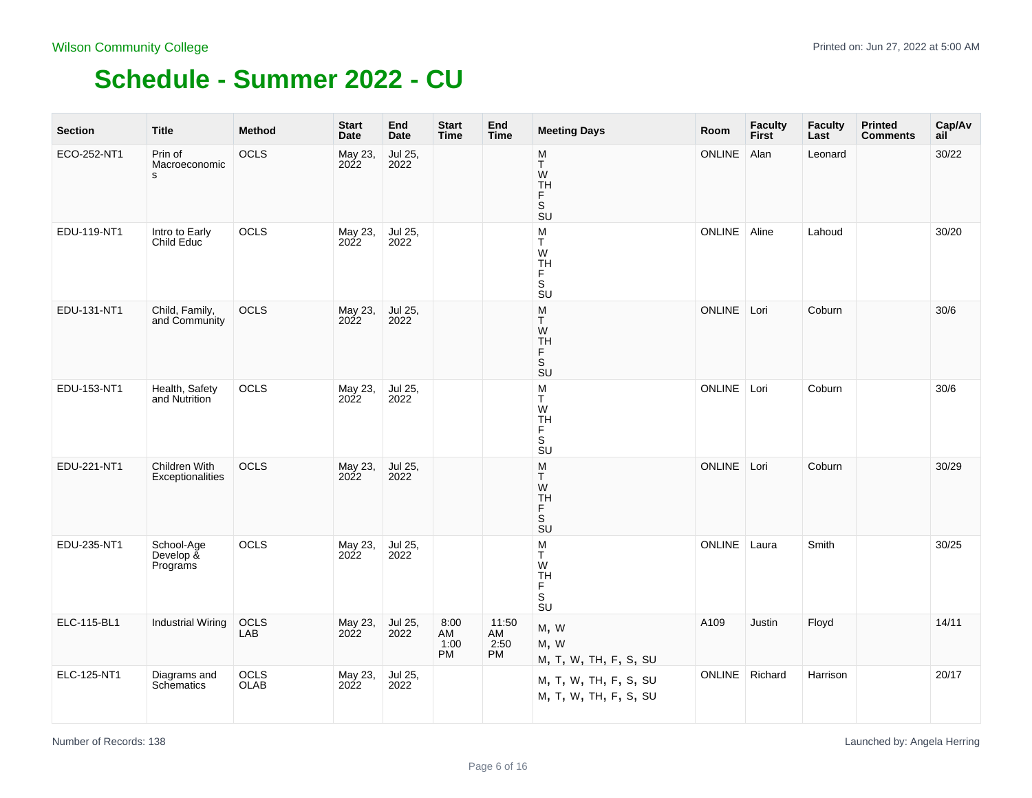| <b>Section</b> | <b>Title</b>                        | <b>Method</b>       | <b>Start</b><br>Date | End<br><b>Date</b> | <b>Start</b><br><b>Time</b>     | End<br><b>Time</b>               | <b>Meeting Days</b>                                                                            | Room          | <b>Faculty</b><br><b>First</b> | <b>Faculty</b><br>Last | <b>Printed</b><br><b>Comments</b> | Cap/Av<br>ail |
|----------------|-------------------------------------|---------------------|----------------------|--------------------|---------------------------------|----------------------------------|------------------------------------------------------------------------------------------------|---------------|--------------------------------|------------------------|-----------------------------------|---------------|
| ECO-252-NT1    | Prin of<br>Macroeconomic<br>s       | OCLS                | May 23,<br>2022      | Jul 25,<br>2022    |                                 |                                  | M<br>Т<br>W<br>TH<br>F<br>$\mathsf S$<br><b>SU</b>                                             | <b>ONLINE</b> | Alan                           | Leonard                |                                   | 30/22         |
| EDU-119-NT1    | Intro to Early<br>Child Educ        | OCLS                | May 23,<br>2022      | Jul 25,<br>2022    |                                 |                                  | M<br>T.<br>W<br><b>TH</b><br>F<br>$\overline{\mathsf{s}}$<br>$\overline{\mathsf{S}}\mathsf{U}$ | ONLINE        | Aline                          | Lahoud                 |                                   | 30/20         |
| EDU-131-NT1    | Child, Family,<br>and Community     | OCLS                | May 23,<br>2022      | Jul 25,<br>2022    |                                 |                                  | M<br>T<br>W<br>TH<br>F<br>S<br>SU                                                              | ONLINE Lori   |                                | Coburn                 |                                   | 30/6          |
| EDU-153-NT1    | Health, Safety<br>and Nutrition     | OCLS                | May 23,<br>2022      | Jul 25,<br>2022    |                                 |                                  | M<br>T<br>W<br><b>TH</b><br>F<br>S<br>SU                                                       | ONLINE Lori   |                                | Coburn                 |                                   | 30/6          |
| EDU-221-NT1    | Children With<br>Exceptionalities   | OCLS                | May 23,<br>2022      | Jul 25,<br>2022    |                                 |                                  | M<br>T<br>W<br><b>TH</b><br>F<br>$\overline{\mathsf{s}}$<br>SU                                 | <b>ONLINE</b> | Lori                           | Coburn                 |                                   | 30/29         |
| EDU-235-NT1    | School-Age<br>Develop &<br>Programs | <b>OCLS</b>         | May 23,<br>2022      | Jul 25,<br>2022    |                                 |                                  | M<br>Т<br>W<br><b>TH</b><br>F<br>$\overline{\mathsf{s}}$<br>$\overline{\mathsf{S}}\mathsf{U}$  | <b>ONLINE</b> | Laura                          | Smith                  |                                   | 30/25         |
| ELC-115-BL1    | <b>Industrial Wiring</b>            | OCLS<br>LAB         | May 23,<br>2022      | Jul 25,<br>2022    | 8:00<br>AM<br>1:00<br><b>PM</b> | 11:50<br>AM<br>2:50<br><b>PM</b> | M, W<br>M, W<br>M, T, W, TH, F, S, SU                                                          | A109          | Justin                         | Floyd                  |                                   | 14/11         |
| ELC-125-NT1    | Diagrams and<br>Schematics          | <b>OCLS</b><br>OLAB | May 23,<br>2022      | Jul 25,<br>2022    |                                 |                                  | M, T, W, TH, F, S, SU<br>M, T, W, TH, F, S, SU                                                 | <b>ONLINE</b> | Richard                        | Harrison               |                                   | 20/17         |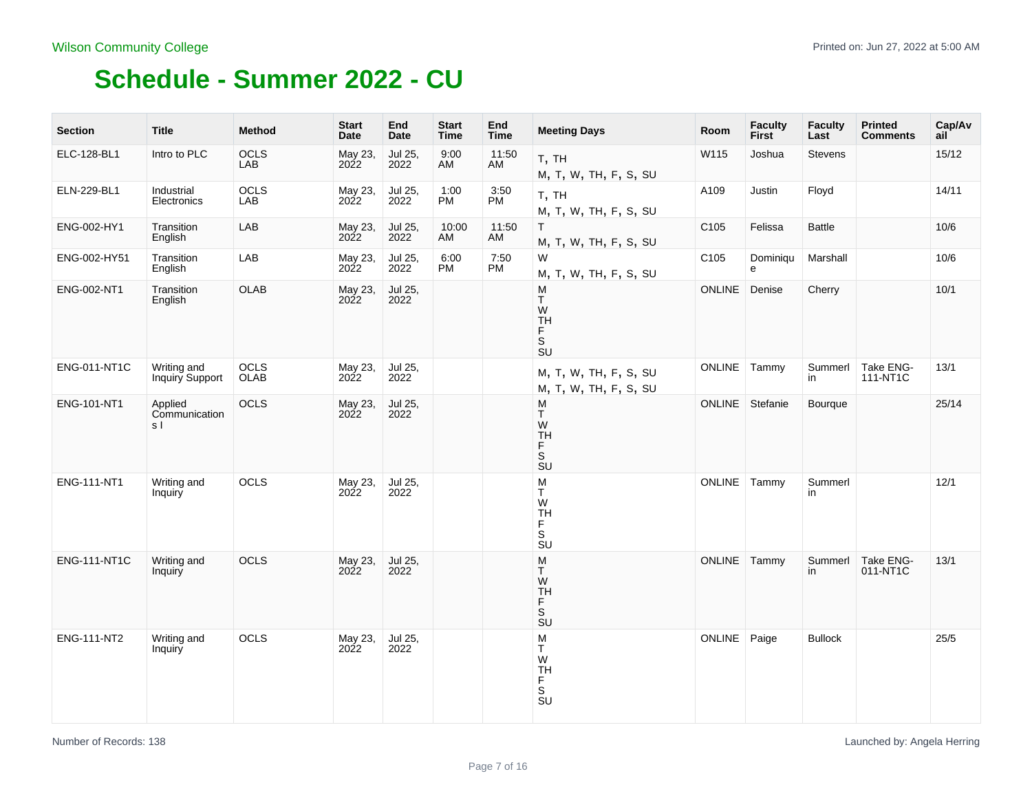| <b>Section</b>      | Title                           | <b>Method</b> | <b>Start</b><br>Date | End<br><b>Date</b> | <b>Start</b><br><b>Time</b> | End<br><b>Time</b> | <b>Meeting Days</b>                                                                | Room             | <b>Faculty</b><br>First | <b>Faculty</b><br>Last | <b>Printed</b><br><b>Comments</b> | Cap/Av<br>ail |
|---------------------|---------------------------------|---------------|----------------------|--------------------|-----------------------------|--------------------|------------------------------------------------------------------------------------|------------------|-------------------------|------------------------|-----------------------------------|---------------|
| ELC-128-BL1         | Intro to PLC                    | OCLS<br>LAB   | May 23,<br>2022      | Jul 25,<br>2022    | 9:00<br>AM                  | 11:50<br>AM        | T, TH<br>M, T, W, TH, F, S, SU                                                     | W115             | Joshua                  | <b>Stevens</b>         |                                   | 15/12         |
| ELN-229-BL1         | Industrial<br>Electronics       | OCLS<br>LAB   | May 23,<br>2022      | Jul 25,<br>2022    | 1:00<br>PM                  | 3:50<br>PM         | T, TH<br>M, T, W, TH, F, S, SU                                                     | A109             | Justin                  | Floyd                  |                                   | 14/11         |
| ENG-002-HY1         | Transition<br>English           | LAB           | May 23,<br>2022      | Jul 25,<br>2022    | 10:00<br>AM                 | 11:50<br>AM        | T.<br>M, T, W, TH, F, S, SU                                                        | C <sub>105</sub> | Felissa                 | <b>Battle</b>          |                                   | 10/6          |
| ENG-002-HY51        | Transition<br>English           | LAB           | May 23,<br>2022      | Jul 25,<br>2022    | 6:00<br>PM                  | 7:50<br>PM         | W<br>M, T, W, TH, F, S, SU                                                         | C <sub>105</sub> | Dominiqu<br>e           | Marshall               |                                   | 10/6          |
| ENG-002-NT1         | Transition<br>English           | <b>OLAB</b>   | May 23,<br>2022      | Jul 25,<br>2022    |                             |                    | M<br>Τ<br>W<br><b>TH</b><br>F<br>s<br>su                                           | ONLINE           | Denise                  | Cherry                 |                                   | 10/1          |
| ENG-011-NT1C        | Writing and<br>Inquiry Support  | OCLS<br>OLAB  | May 23,<br>2022      | Jul 25,<br>2022    |                             |                    | M, T, W, TH, F, S, SU<br>M, T, W, TH, F, S, SU                                     | ONLINE Tammy     |                         | Summerl<br>in          | Take ENG-<br>111-NT1C             | 13/1          |
| ENG-101-NT1         | Applied<br>Communication<br>s l | OCLS          | May 23,<br>2022      | Jul 25,<br>2022    |                             |                    | M<br>Τ<br>W<br><b>TH</b><br>$_{\rm S}^{\rm F}$<br>SU                               |                  | ONLINE Stefanie         | Bourque                |                                   | 25/14         |
| ENG-111-NT1         | Writing and<br>Inquiry          | OCLS          | May 23,<br>2022      | Jul 25,<br>2022    |                             |                    | M<br>T.<br>W<br><b>TH</b><br>F<br>$\mathsf S$<br>$\overline{\mathsf{s}}\mathsf{u}$ | ONLINE   Tammy   |                         | Summerl<br>in          |                                   | 12/1          |
| <b>ENG-111-NT1C</b> | Writing and<br>Inquiry          | OCLS          | May 23,<br>2022      | Jul 25,<br>2022    |                             |                    | M<br>T<br>W<br><b>TH</b><br>$\overline{F}$<br>S<br>SU                              | ONLINE Tammy     |                         | Summerl<br>in          | Take ENG-<br>011-NT1C             | 13/1          |
| <b>ENG-111-NT2</b>  | Writing and<br>Inquiry          | OCLS          | May 23,<br>2022      | Jul 25,<br>2022    |                             |                    | M<br>T.<br>W<br><b>TH</b><br>$\frac{F}{S}$                                         | <b>ONLINE</b>    | Paige                   | <b>Bullock</b>         |                                   | 25/5          |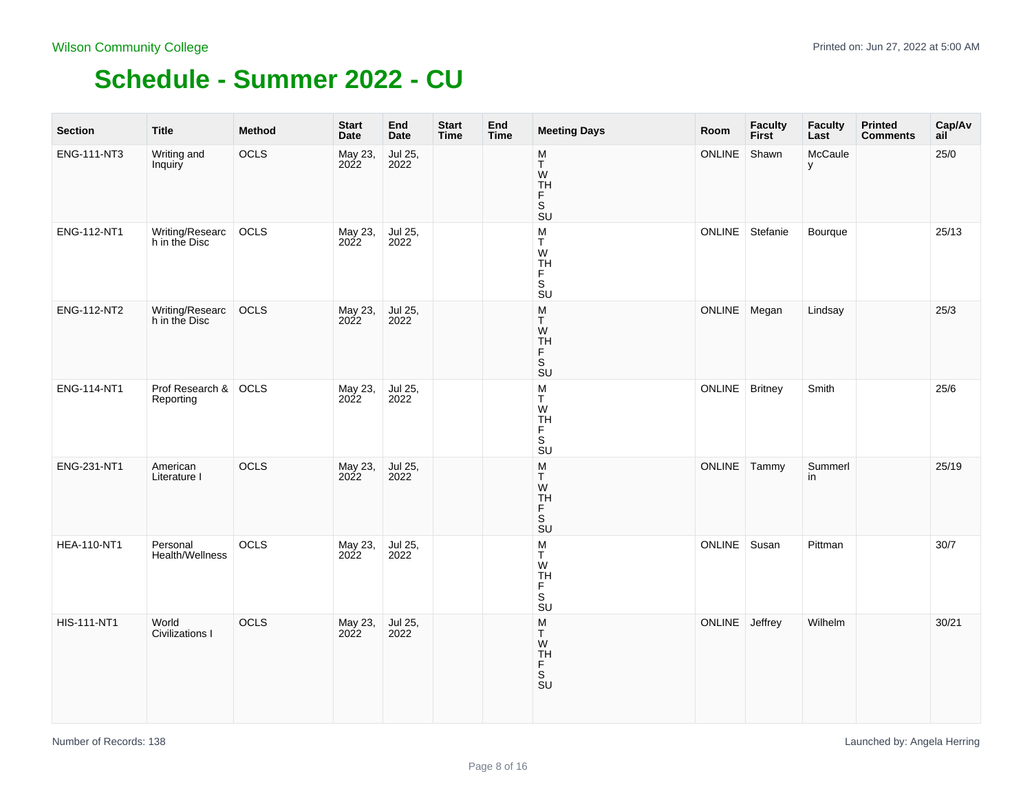| <b>Section</b>     | <b>Title</b>                      | Method | <b>Start</b><br>Date | End<br>Date     | <b>Start</b><br><b>Time</b> | End<br><b>Time</b> | <b>Meeting Days</b>                                                                       | Room           | <b>Faculty</b><br><b>First</b> | <b>Faculty</b><br>Last | <b>Printed</b><br><b>Comments</b> | Cap/Av<br>ail |
|--------------------|-----------------------------------|--------|----------------------|-----------------|-----------------------------|--------------------|-------------------------------------------------------------------------------------------|----------------|--------------------------------|------------------------|-----------------------------------|---------------|
| ENG-111-NT3        | Writing and<br>Inquiry            | OCLS   | May 23,<br>2022      | Jul 25,<br>2022 |                             |                    | M<br>$\mathsf T$<br>W<br>$\mathop{\mathsf{TH}}\limits_{\mathsf{F}}$<br>S<br><b>SU</b>     | ONLINE         | Shawn                          | McCaule<br>У           |                                   | 25/0          |
| ENG-112-NT1        | Writing/Researc<br>h in the Disc  | OCLS   | May 23,<br>2022      | Jul 25,<br>2022 |                             |                    | M<br>T<br>W<br>TH<br>F<br>$\overline{\mathsf{s}}$<br>$\overline{\mathsf{S}}\mathsf{U}$    | <b>ONLINE</b>  | Stefanie                       | Bourque                |                                   | 25/13         |
| ENG-112-NT2        | Writing/Researc<br>h in the Disc  | OCLS   | May 23,<br>2022      | Jul 25,<br>2022 |                             |                    | M<br>Τ<br>W<br><b>TH</b><br>F<br>$\overline{\mathsf{s}}$<br><b>SU</b>                     | ONLINE Megan   |                                | Lindsay                |                                   | 25/3          |
| ENG-114-NT1        | Prof Research & OCLS<br>Reporting |        | May 23,<br>2022      | Jul 25,<br>2022 |                             |                    | ${\sf M}$<br>T<br>W<br>TH<br>F<br>S<br><b>SU</b>                                          | <b>ONLINE</b>  | <b>Britney</b>                 | Smith                  |                                   | 25/6          |
| ENG-231-NT1        | American<br>Literature I          | OCLS   | May 23,<br>2022      | Jul 25,<br>2022 |                             |                    | $\frac{\mathsf{M}}{\mathsf{T}}$<br>W<br>TH<br>F<br>S<br>$\overline{\mathsf{S}}\mathsf{U}$ | ONLINE Tammy   |                                | Summerl<br>in          |                                   | 25/19         |
| <b>HEA-110-NT1</b> | Personal<br>Health/Wellness       | OCLS   | May 23,<br>2022      | Jul 25,<br>2022 |                             |                    | ${\sf M}$<br>T<br>W<br>TH<br>F<br>$\overline{\mathsf{s}}$<br><b>SU</b>                    | <b>ONLINE</b>  | Susan                          | Pittman                |                                   | 30/7          |
| <b>HIS-111-NT1</b> | World<br>Civilizations I          | OCLS   | May 23,<br>2022      | Jul 25,<br>2022 |                             |                    | M<br>Τ<br>W<br>TH<br>F<br>S<br>SU                                                         | ONLINE Jeffrey |                                | Wilhelm                |                                   | 30/21         |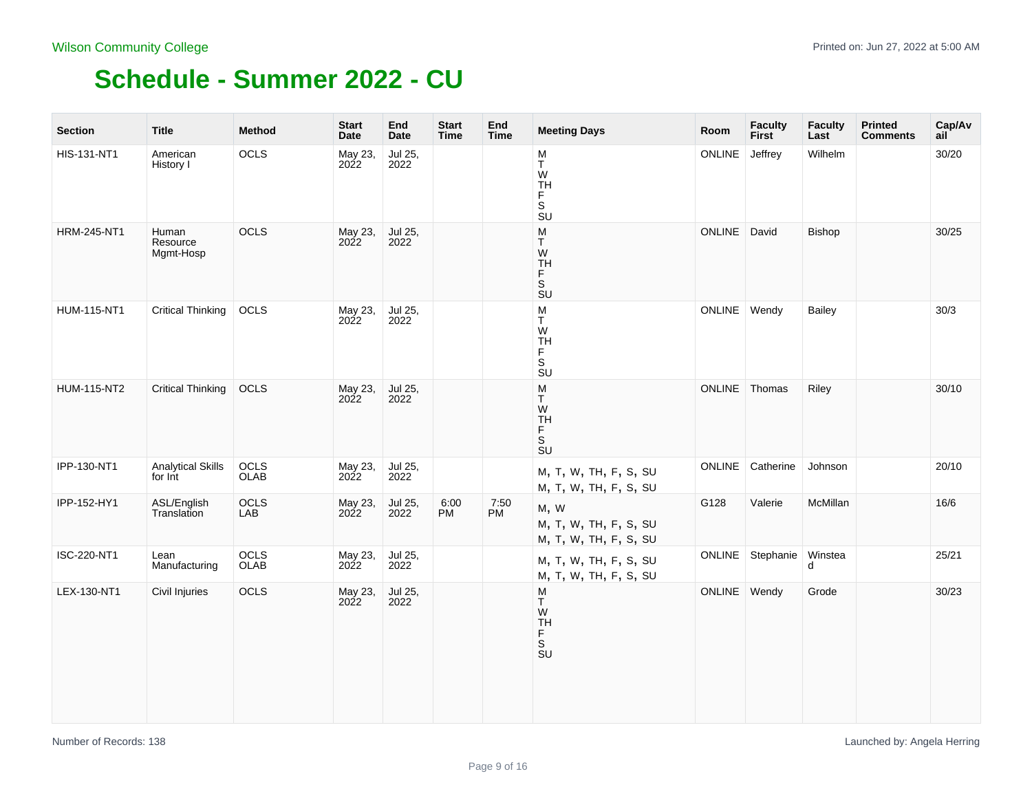| <b>Section</b>     | <b>Title</b>                        | <b>Method</b> | <b>Start</b><br><b>Date</b> | End<br><b>Date</b> | <b>Start</b><br><b>Time</b> | End<br><b>Time</b> | <b>Meeting Days</b>                                                    | Room            | <b>Faculty</b><br><b>First</b> | <b>Faculty</b><br>Last | <b>Printed</b><br><b>Comments</b> | Cap/Av<br>ail |
|--------------------|-------------------------------------|---------------|-----------------------------|--------------------|-----------------------------|--------------------|------------------------------------------------------------------------|-----------------|--------------------------------|------------------------|-----------------------------------|---------------|
| HIS-131-NT1        | American<br>History I               | OCLS          | May 23,<br>2022             | Jul 25,<br>2022    |                             |                    | ${\sf M}$<br>T<br>W<br>TH<br>F<br>$\overline{\mathbf{s}}$<br><b>SU</b> | ONLINE          | Jeffrey                        | Wilhelm                |                                   | 30/20         |
| <b>HRM-245-NT1</b> | Human<br>Resource<br>Mgmt-Hosp      | OCLS          | May 23,<br>2022             | Jul 25,<br>2022    |                             |                    | M<br>T<br>W<br>TH<br>F<br>.<br>S<br>SU                                 | ONLINE          | David                          | Bishop                 |                                   | 30/25         |
| <b>HUM-115-NT1</b> | <b>Critical Thinking</b>            | <b>OCLS</b>   | May 23,<br>2022             | Jul 25,<br>2022    |                             |                    | ${\sf M}$<br>T.<br>W<br><b>TH</b><br>F.<br>$\mathbb S$<br>SU           | ONLINE   Wendy  |                                | <b>Bailey</b>          |                                   | 30/3          |
| <b>HUM-115-NT2</b> | <b>Critical Thinking</b>            | OCLS          | May 23,<br>2022             | Jul 25,<br>2022    |                             |                    | ${\sf M}$<br>Τ<br>W<br>TH<br>F<br>$\overline{\mathbf{s}}$<br>SU        | ONLINE   Thomas |                                | Riley                  |                                   | 30/10         |
| IPP-130-NT1        | <b>Analytical Skills</b><br>for Int | OCLS<br>OLAB  | May 23,<br>2022             | Jul 25,<br>2022    |                             |                    | M, T, W, TH, F, S, SU<br>M, T, W, TH, F, S, SU                         | ONLINE          | Catherine                      | Johnson                |                                   | 20/10         |
| IPP-152-HY1        | ASL/English<br>Translation          | OCLS<br>LAB   | May 23,<br>2022             | Jul 25,<br>2022    | 6:00<br><b>PM</b>           | 7:50<br><b>PM</b>  | M, W<br>M, T, W, TH, F, S, SU<br>M, T, W, TH, F, S, SU                 | G128            | Valerie                        | McMillan               |                                   | 16/6          |
| ISC-220-NT1        | Lean<br>Manufacturing               | OCLS<br>OLAB  | May 23,<br>2022             | Jul 25,<br>2022    |                             |                    | M, T, W, TH, F, S, SU<br>M, T, W, TH, F, S, SU                         | ONLINE          | Stephanie                      | Winstea<br>d           |                                   | 25/21         |
| LEX-130-NT1        | Civil Injuries                      | OCLS          | May 23,<br>2022             | Jul 25,<br>2022    |                             |                    | M<br>Τ<br>W<br>TH<br>F<br>$\overline{\mathsf{s}}$<br>SU                | <b>ONLINE</b>   | Wendy                          | Grode                  |                                   | 30/23         |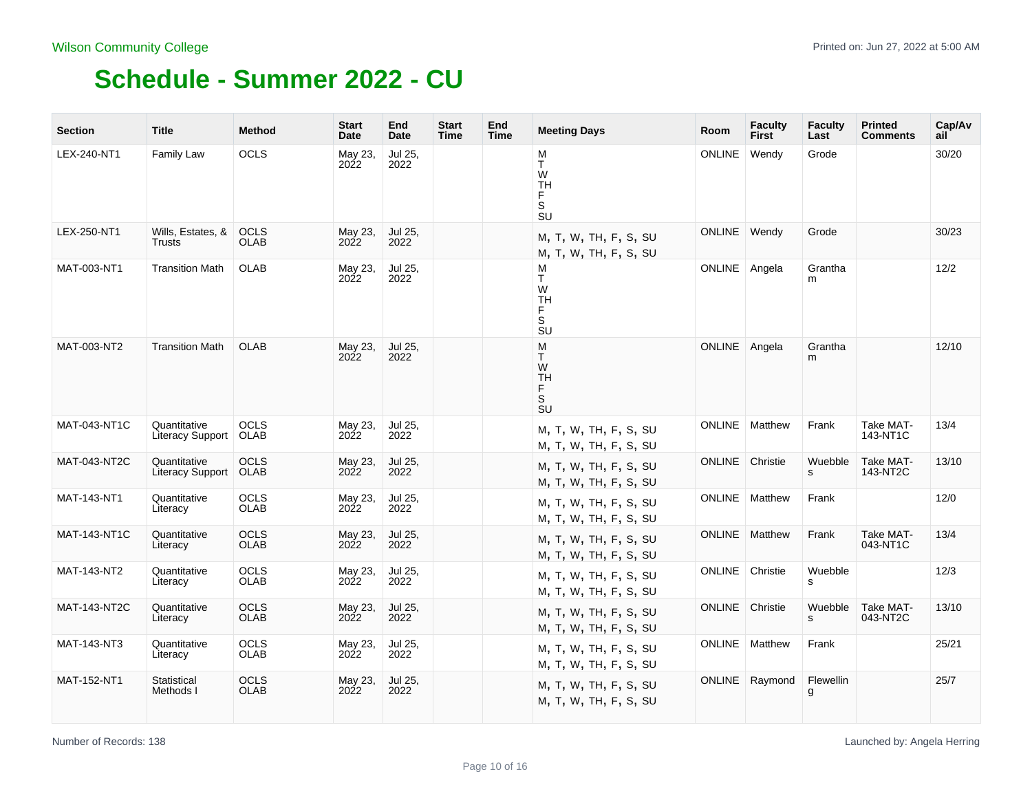| <b>Section</b>      | <b>Title</b>                     | <b>Method</b>              | <b>Start</b><br>Date | End<br>Date     | <b>Start</b><br><b>Time</b> | End<br><b>Time</b> | <b>Meeting Days</b>                                                                             | Room          | <b>Faculty</b><br><b>First</b> | <b>Faculty</b><br>Last | <b>Printed</b><br>Comments | Cap/Av<br>ail |
|---------------------|----------------------------------|----------------------------|----------------------|-----------------|-----------------------------|--------------------|-------------------------------------------------------------------------------------------------|---------------|--------------------------------|------------------------|----------------------------|---------------|
| LEX-240-NT1         | Family Law                       | OCLS                       | May 23,<br>2022      | Jul 25,<br>2022 |                             |                    | M<br>T.<br>W<br><b>TH</b><br>F.<br>$\overline{\mathbf{s}}$<br>$\overline{\mathsf{S}}\mathsf{U}$ | <b>ONLINE</b> | Wendy                          | Grode                  |                            | 30/20         |
| LEX-250-NT1         | Wills, Estates, &<br>Trusts      | OCLS<br><b>OLAB</b>        | May 23,<br>2022      | Jul 25,<br>2022 |                             |                    | M, T, W, TH, F, S, SU<br>M, T, W, TH, F, S, SU                                                  | ONLINE        | Wendy                          | Grode                  |                            | 30/23         |
| MAT-003-NT1         | <b>Transition Math</b>           | <b>OLAB</b>                | May 23,<br>2022      | Jul 25,<br>2022 |                             |                    | M<br>T.<br>W<br><b>TH</b><br>F<br>$\mathbb S$<br>$\overline{\mathsf{S}}\mathsf{U}$              | ONLINE Angela |                                | Grantha<br>m           |                            | 12/2          |
| MAT-003-NT2         | <b>Transition Math</b>           | <b>OLAB</b>                | May 23,<br>2022      | Jul 25,<br>2022 |                             |                    | M<br>T<br>W<br><b>TH</b><br>F<br>.<br>Su                                                        | ONLINE        | Angela                         | Grantha<br>m           |                            | 12/10         |
| MAT-043-NT1C        | Quantitative<br>Literacy Support | <b>OCLS</b><br><b>OLAB</b> | May 23,<br>2022      | Jul 25,<br>2022 |                             |                    | M, T, W, TH, F, S, SU<br>M, T, W, TH, F, S, SU                                                  | <b>ONLINE</b> | Matthew                        | Frank                  | Take MAT-<br>143-NT1C      | 13/4          |
| MAT-043-NT2C        | Quantitative<br>Literacy Support | OCLS<br><b>OLAB</b>        | May 23,<br>2022      | Jul 25,<br>2022 |                             |                    | M, T, W, TH, F, S, SU<br>M, T, W, TH, F, S, SU                                                  | ONLINE        | Christie                       | Wuebble<br>s           | Take MAT-<br>143-NT2C      | 13/10         |
| MAT-143-NT1         | Quantitative<br>Literacy         | <b>OCLS</b><br><b>OLAB</b> | May 23,<br>2022      | Jul 25,<br>2022 |                             |                    | M, T, W, TH, F, S, SU<br>M, T, W, TH, F, S, SU                                                  | <b>ONLINE</b> | Matthew                        | Frank                  |                            | 12/0          |
| <b>MAT-143-NT1C</b> | Quantitative<br>Literacy         | <b>OCLS</b><br><b>OLAB</b> | May 23,<br>2022      | Jul 25,<br>2022 |                             |                    | M, T, W, TH, F, S, SU<br>M, T, W, TH, F, S, SU                                                  | <b>ONLINE</b> | Matthew                        | Frank                  | Take MAT-<br>043-NT1C      | 13/4          |
| MAT-143-NT2         | Quantitative<br>Literacy         | <b>OCLS</b><br>OLAB        | May 23,<br>2022      | Jul 25,<br>2022 |                             |                    | M, T, W, TH, F, S, SU<br>M, T, W, TH, F, S, SU                                                  | <b>ONLINE</b> | Christie                       | Wuebble<br>s           |                            | 12/3          |
| <b>MAT-143-NT2C</b> | Quantitative<br>Literacy         | OCLS<br>OLAB               | May 23,<br>2022      | Jul 25,<br>2022 |                             |                    | M, T, W, TH, F, S, SU<br>M, T, W, TH, F, S, SU                                                  | <b>ONLINE</b> | Christie                       | Wuebble<br>s           | Take MAT-<br>043-NT2C      | 13/10         |
| MAT-143-NT3         | Quantitative<br>Literacy         | <b>OCLS</b><br>OLAB        | May 23,<br>2022      | Jul 25,<br>2022 |                             |                    | M, T, W, TH, F, S, SU<br>M, T, W, TH, F, S, SU                                                  | <b>ONLINE</b> | Matthew                        | Frank                  |                            | 25/21         |
| MAT-152-NT1         | Statistical<br>Methods I         | OCLS<br><b>OLAB</b>        | May 23,<br>2022      | Jul 25,<br>2022 |                             |                    | M, T, W, TH, F, S, SU<br>M, T, W, TH, F, S, SU                                                  | <b>ONLINE</b> | Raymond                        | Flewellin<br>g         |                            | 25/7          |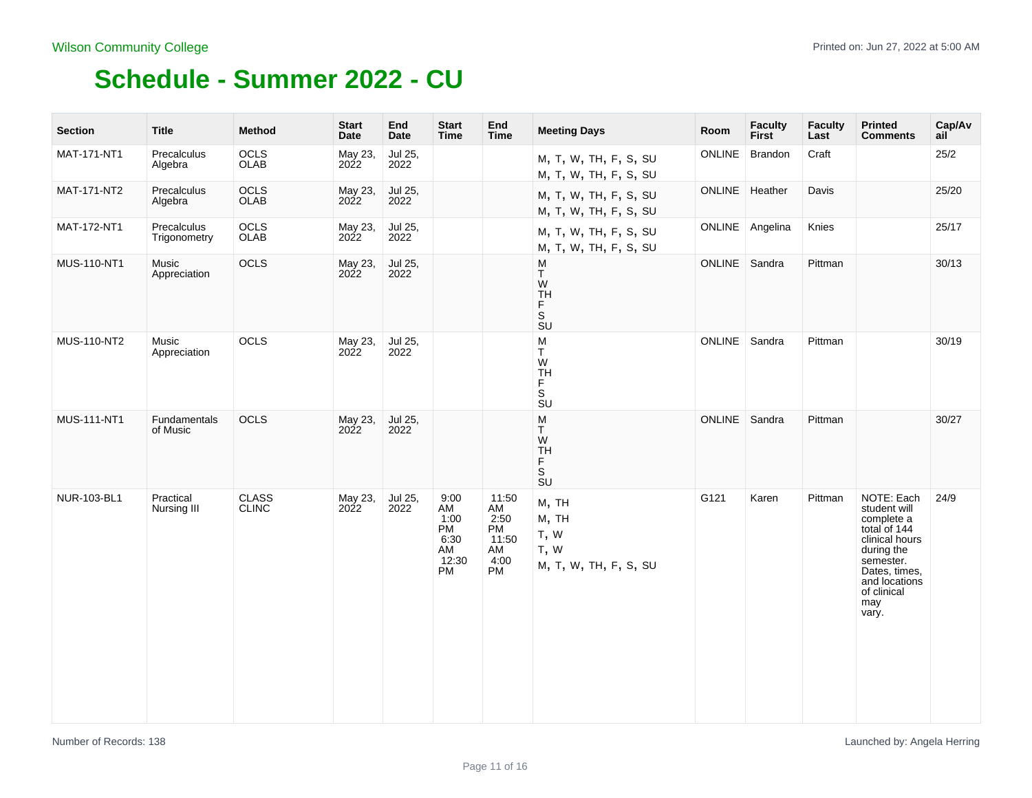| <b>Section</b>     | <b>Title</b>                | <b>Method</b>                | <b>Start</b><br>Date | End<br><b>Date</b> | <b>Start</b><br><b>Time</b>                           | End<br><b>Time</b>                                            | <b>Meeting Days</b>                                                                            | Room            | <b>Faculty</b><br><b>First</b> | <b>Faculty</b><br>Last | <b>Printed</b><br><b>Comments</b>                                                                                                                                      | Cap/Av<br>ail |
|--------------------|-----------------------------|------------------------------|----------------------|--------------------|-------------------------------------------------------|---------------------------------------------------------------|------------------------------------------------------------------------------------------------|-----------------|--------------------------------|------------------------|------------------------------------------------------------------------------------------------------------------------------------------------------------------------|---------------|
| MAT-171-NT1        | Precalculus<br>Algebra      | OCLS<br>OLAB                 | May 23,<br>2022      | Jul 25,<br>2022    |                                                       |                                                               | M, T, W, TH, F, S, SU<br>M, T, W, TH, F, S, SU                                                 | <b>ONLINE</b>   | Brandon                        | Craft                  |                                                                                                                                                                        | 25/2          |
| MAT-171-NT2        | Precalculus<br>Algebra      | OCLS<br>OLAB                 | May 23,<br>2022      | Jul 25,<br>2022    |                                                       |                                                               | M, T, W, TH, F, S, SU<br>M, T, W, TH, F, S, SU                                                 | ONLINE          | Heather                        | Davis                  |                                                                                                                                                                        | 25/20         |
| MAT-172-NT1        | Precalculus<br>Trigonometry | OCLS<br>OLAB                 | May 23,<br>2022      | Jul 25,<br>2022    |                                                       |                                                               | M, T, W, TH, F, S, SU<br>M, T, W, TH, F, S, SU                                                 |                 | ONLINE Angelina                | Knies                  |                                                                                                                                                                        | 25/17         |
| MUS-110-NT1        | Music<br>Appreciation       | OCLS                         | May 23,<br>2022      | Jul 25,<br>2022    |                                                       |                                                               | M<br>T<br>W<br>$\frac{1}{F}$<br>$\overline{\mathbf{s}}$<br>$\overline{\mathsf{S}}\mathsf{U}$   | <b>ONLINE</b>   | Sandra                         | Pittman                |                                                                                                                                                                        | 30/13         |
| MUS-110-NT2        | Music<br>Appreciation       | <b>OCLS</b>                  | May 23,<br>2022      | Jul 25,<br>2022    |                                                       |                                                               | M<br>T.<br>W<br><b>TH</b><br>F<br>$\overline{\mathbf{s}}$<br>$\overline{\mathsf{S}}\mathsf{U}$ | ONLINE   Sandra |                                | Pittman                |                                                                                                                                                                        | 30/19         |
| <b>MUS-111-NT1</b> | Fundamentals<br>of Music    | OCLS                         | May 23,<br>2022      | Jul 25,<br>2022    |                                                       |                                                               | M<br>Τ<br>W<br><b>TH</b><br>$_{\rm S}^{\rm F}$<br><b>SU</b>                                    | ONLINE   Sandra |                                | Pittman                |                                                                                                                                                                        | 30/27         |
| NUR-103-BL1        | Practical<br>Nursing III    | <b>CLASS</b><br><b>CLINC</b> | May 23,<br>2022      | Jul 25,<br>2022    | 9:00<br>AM<br>1:00<br>PM<br>6:30<br>AM<br>12:30<br>PM | 11:50<br>AM<br>2:50<br>PM<br>11:50<br>AM<br>4:00<br><b>PM</b> | M, TH<br>M, TH<br>T, W<br>T, W<br>M, T, W, TH, F, S, SU                                        | G121            | Karen                          | Pittman                | NOTE: Each<br>student will<br>complete a<br>total of 144<br>clinical hours<br>during the<br>semester.<br>Dates, times,<br>and locations<br>of clinical<br>may<br>vary. | 24/9          |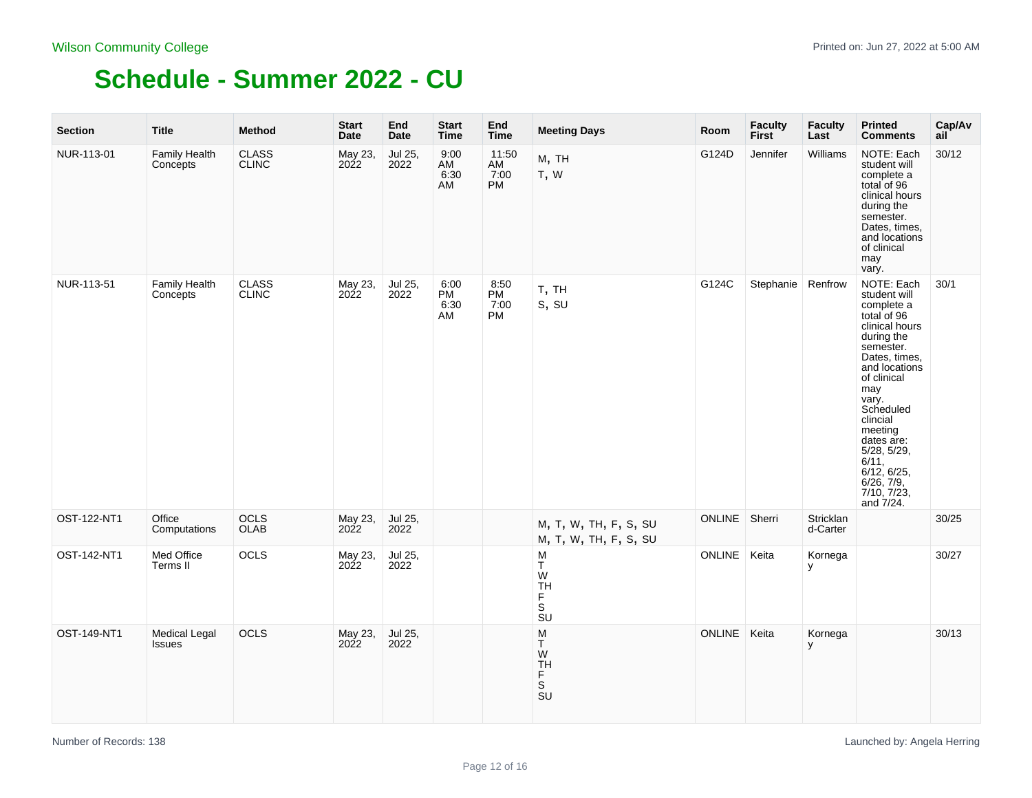| <b>Section</b> | <b>Title</b>                          | <b>Method</b>                | <b>Start</b><br><b>Date</b> | End<br>Date     | <b>Start</b><br>Time     | End<br><b>Time</b>        | <b>Meeting Days</b>                                                      | Room          | <b>Faculty</b><br><b>First</b> | <b>Faculty</b><br>Last | <b>Printed</b><br><b>Comments</b>                                                                                                                                                                                                                                                                        | Cap/Av<br>ail |
|----------------|---------------------------------------|------------------------------|-----------------------------|-----------------|--------------------------|---------------------------|--------------------------------------------------------------------------|---------------|--------------------------------|------------------------|----------------------------------------------------------------------------------------------------------------------------------------------------------------------------------------------------------------------------------------------------------------------------------------------------------|---------------|
| NUR-113-01     | <b>Family Health</b><br>Concepts      | <b>CLASS</b><br><b>CLINC</b> | May 23,<br>2022             | Jul 25,<br>2022 | 9:00<br>AM<br>6:30<br>AM | 11:50<br>AM<br>7:00<br>PM | M, TH<br>T, W                                                            | G124D         | Jennifer                       | Williams               | NOTE: Each<br>student will<br>complete a<br>total of 96<br>clinical hours<br>during the<br>semester.<br>Dates, times,<br>and locations<br>of clinical<br>may<br>vary.                                                                                                                                    | 30/12         |
| NUR-113-51     | <b>Family Health</b><br>Concepts      | <b>CLASS</b><br><b>CLINC</b> | May 23,<br>2022             | Jul 25,<br>2022 | 6:00<br>PM<br>6:30<br>AM | 8:50<br>PM<br>7:00<br>PM  | T, TH<br>s, su                                                           | G124C         | Stephanie Renfrow              |                        | NOTE: Each<br>student will<br>complete a<br>total of 96<br>clinical hours<br>during the<br>semester.<br>Dates, times,<br>and locations<br>of clinical<br>may<br>vary.<br>Scheduled<br>clincial<br>meeting<br>dates are:<br>5/28, 5/29,<br>6/11,<br>6/12, 6/25,<br>6/26, 7/9,<br>7/10, 7/23,<br>and 7/24. | 30/1          |
| OST-122-NT1    | Office<br>Computations                | OCLS<br>OLAB                 | May 23,<br>2022             | Jul 25,<br>2022 |                          |                           | M, T, W, TH, F, S, SU<br>M, T, W, TH, F, S, SU                           | <b>ONLINE</b> | Sherri                         | Stricklan<br>d-Carter  |                                                                                                                                                                                                                                                                                                          | 30/25         |
| OST-142-NT1    | Med Office<br>Terms II                | OCLS                         | May 23,<br>2022             | Jul 25,<br>2022 |                          |                           | M<br>T<br>W<br><b>TH</b><br>F<br>S<br>$\overline{\text{s}}$ <sub>U</sub> | <b>ONLINE</b> | Keita                          | Kornega<br>У           |                                                                                                                                                                                                                                                                                                          | 30/27         |
| OST-149-NT1    | <b>Medical Legal</b><br><b>Issues</b> | OCLS                         | May 23,<br>2022             | Jul 25,<br>2022 |                          |                           | M<br>T<br>W<br>TH<br>F<br>S<br>SU                                        | <b>ONLINE</b> | Keita                          | Kornega<br>у           |                                                                                                                                                                                                                                                                                                          | 30/13         |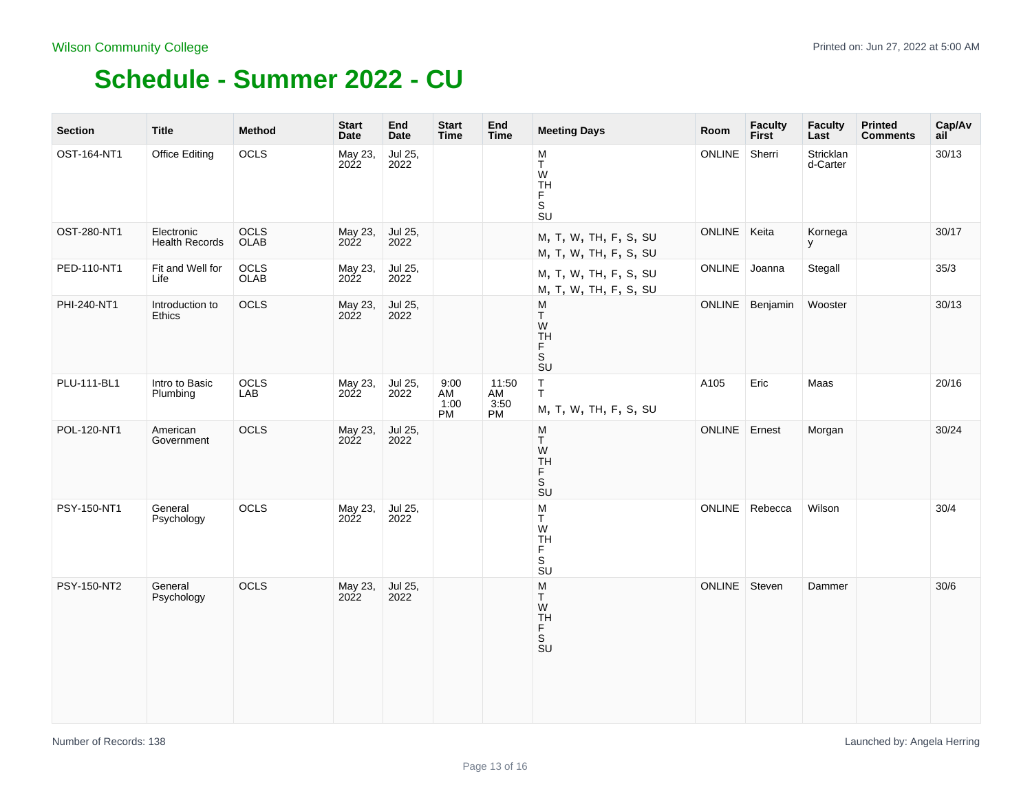| <b>Section</b> | <b>Title</b>                        | <b>Method</b> | <b>Start</b><br>Date | End<br><b>Date</b> | <b>Start</b><br><b>Time</b> | End<br><b>Time</b>        | <b>Meeting Days</b>                                                                            | Room          | <b>Faculty</b><br><b>First</b> | <b>Faculty</b><br>Last | <b>Printed</b><br><b>Comments</b> | Cap/Av<br>ail |
|----------------|-------------------------------------|---------------|----------------------|--------------------|-----------------------------|---------------------------|------------------------------------------------------------------------------------------------|---------------|--------------------------------|------------------------|-----------------------------------|---------------|
| OST-164-NT1    | <b>Office Editing</b>               | OCLS          | May 23,<br>2022      | Jul 25,<br>2022    |                             |                           | ${\sf M}$<br>Τ<br>W<br>TH<br>F<br>$\overline{\mathbf{s}}$<br>$\overline{\mathsf{S}}\mathsf{U}$ | ONLINE        | Sherri                         | Stricklan<br>d-Carter  |                                   | 30/13         |
| OST-280-NT1    | Electronic<br><b>Health Records</b> | OCLS<br>OLAB  | May 23,<br>2022      | Jul 25,<br>2022    |                             |                           | M, T, W, TH, F, S, SU<br>M, T, W, TH, F, S, SU                                                 | ONLINE        | Keita                          | Kornega<br>У           |                                   | 30/17         |
| PED-110-NT1    | Fit and Well for<br>Life            | OCLS<br>OLAB  | May 23,<br>2022      | Jul 25,<br>2022    |                             |                           | M, T, W, TH, F, S, SU<br>M, T, W, TH, F, S, SU                                                 | ONLINE Joanna |                                | Stegall                |                                   | 35/3          |
| PHI-240-NT1    | Introduction to<br>Ethics           | OCLS          | May 23,<br>2022      | Jul 25,<br>2022    |                             |                           | M<br>T<br>W<br>TH<br>F<br>s<br>su                                                              | <b>ONLINE</b> | Benjamin                       | Wooster                |                                   | 30/13         |
| PLU-111-BL1    | Intro to Basic<br>Plumbing          | OCLS<br>LAB   | May 23,<br>2022      | Jul 25,<br>2022    | 9:00<br>AM<br>1:00<br>PM    | 11:50<br>AM<br>3:50<br>PM | $\sf T$<br>T.<br>M, T, W, TH, F, S, SU                                                         | A105          | Eric                           | Maas                   |                                   | 20/16         |
| POL-120-NT1    | American<br>Government              | OCLS          | May 23,<br>2022      | Jul 25,<br>2022    |                             |                           | M<br>T.<br>W<br><b>TH</b><br>Ë<br>S<br>$\overline{\mathsf{S}}\mathsf{U}$                       | <b>ONLINE</b> | Ernest                         | Morgan                 |                                   | 30/24         |
| PSY-150-NT1    | General<br>Psychology               | OCLS          | May 23,<br>2022      | Jul 25,<br>2022    |                             |                           | ${\sf M}$<br>T.<br>W<br>TH<br>F<br>s<br>su                                                     |               | ONLINE Rebecca                 | Wilson                 |                                   | 30/4          |
| PSY-150-NT2    | General<br>Psychology               | OCLS          | May 23,<br>2022      | Jul 25,<br>2022    |                             |                           | ${\sf M}$<br>T<br>W<br>TH<br>F<br>S<br>SU                                                      | <b>ONLINE</b> | Steven                         | Dammer                 |                                   | $30/6$        |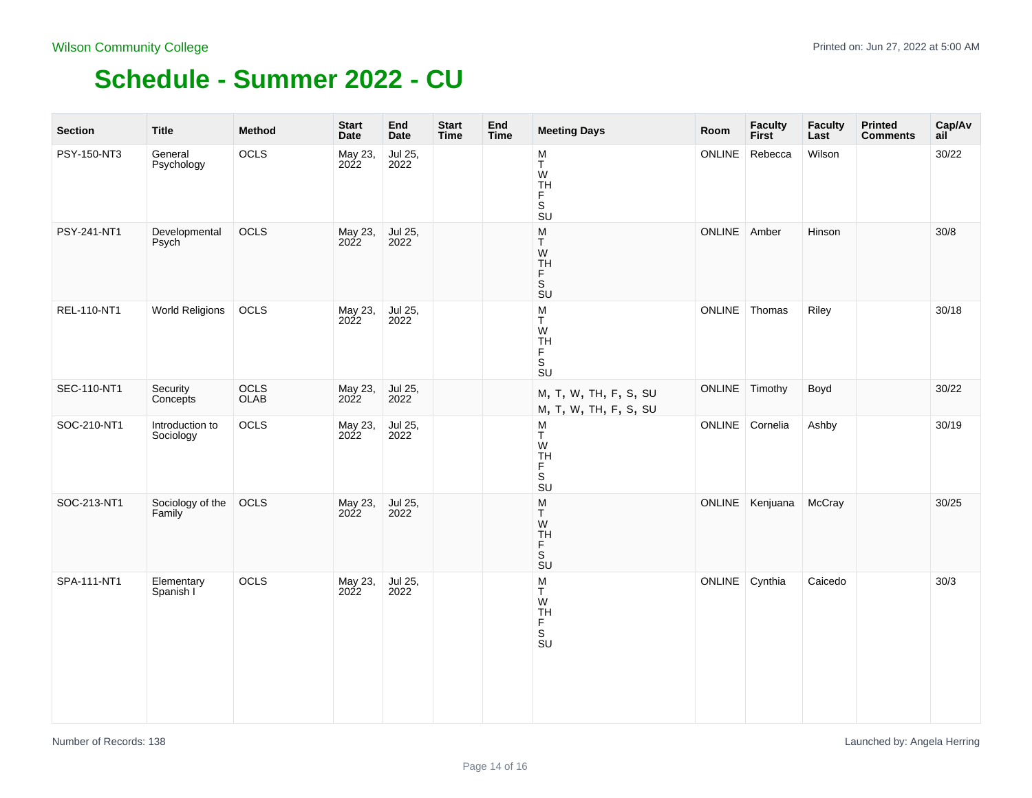| <b>Section</b> | <b>Title</b>                 | <b>Method</b> | <b>Start</b><br>Date   | End<br>Date     | <b>Start</b><br><b>Time</b> | End<br><b>Time</b> | <b>Meeting Days</b>                                                                                   | Room           | <b>Faculty</b><br><b>First</b> | <b>Faculty</b><br>Last | <b>Printed</b><br><b>Comments</b> | Cap/Av<br>ail |
|----------------|------------------------------|---------------|------------------------|-----------------|-----------------------------|--------------------|-------------------------------------------------------------------------------------------------------|----------------|--------------------------------|------------------------|-----------------------------------|---------------|
| PSY-150-NT3    | General<br>Psychology        | OCLS          | May 23,<br>2022        | Jul 25,<br>2022 |                             |                    | M<br>$\sf T$<br>W<br>F<br>$\overline{\mathbf{s}}$<br>SU                                               | ONLINE         | Rebecca                        | Wilson                 |                                   | 30/22         |
| PSY-241-NT1    | Developmental<br>Psych       | OCLS          | May 23,<br>2022        | Jul 25,<br>2022 |                             |                    | $\frac{{\mathsf M}}{{\mathsf T}}$<br>W<br>TH<br>F<br>S<br><b>SU</b>                                   | ONLINE Amber   |                                | Hinson                 |                                   | 30/8          |
| REL-110-NT1    | <b>World Religions</b>       | OCLS          | May 23,<br>2022        | Jul 25,<br>2022 |                             |                    | ${\sf M}$<br>T<br>W<br><b>TH</b><br>Ë<br>$\overline{\mathbf{s}}$<br>$\overline{\mathsf{S}}\mathsf{U}$ |                | ONLINE Thomas                  | Riley                  |                                   | 30/18         |
| SEC-110-NT1    | Security<br>Concepts         | OCLS<br>OLAB  | May 23,<br><b>2022</b> | Jul 25,<br>2022 |                             |                    | M, T, W, TH, F, S, SU<br>M, T, W, TH, F, S, SU                                                        | ONLINE Timothy |                                | Boyd                   |                                   | 30/22         |
| SOC-210-NT1    | Introduction to<br>Sociology | OCLS          | May 23,<br>2022        | Jul 25,<br>2022 |                             |                    | M<br>T<br>W<br>ÏН<br>F<br>S<br>SU                                                                     |                | ONLINE Cornelia                | Ashby                  |                                   | 30/19         |
| SOC-213-NT1    | Sociology of the<br>Family   | OCLS          | May 23,<br>2022        | Jul 25,<br>2022 |                             |                    | ${\sf M}$<br>T.<br>W<br><b>TH</b><br>F<br>$\overline{\mathsf{s}}$<br>$\overline{S}U$                  |                | ONLINE Kenjuana                | McCray                 |                                   | 30/25         |
| SPA-111-NT1    | Elementary<br>Spanish I      | OCLS          | May 23,<br>2022        | Jul 25,<br>2022 |                             |                    | M<br>T<br>W<br>TH<br>S<br>SU                                                                          | ONLINE Cynthia |                                | Caicedo                |                                   | 30/3          |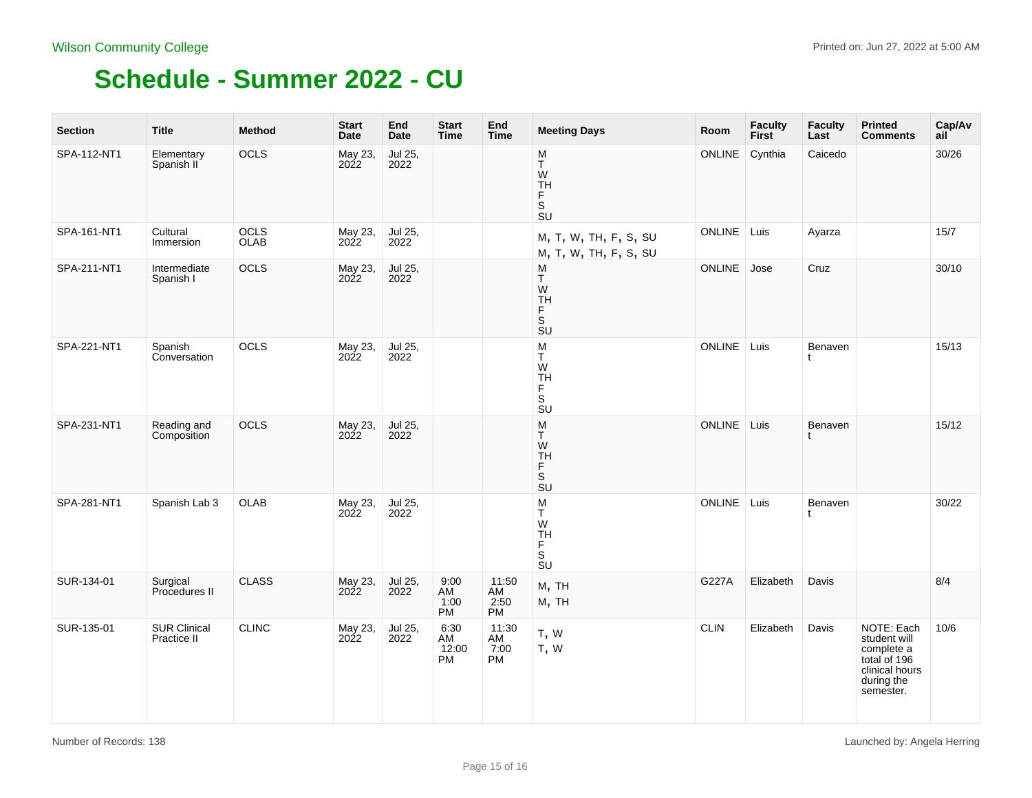| <b>Section</b> | Title                              | <b>Method</b> | <b>Start</b><br><b>Date</b> | End<br><b>Date</b> | <b>Start</b><br><b>Time</b>      | End<br><b>Time</b>        | <b>Meeting Days</b>                                                                           | Room          | <b>Faculty</b><br><b>First</b> | <b>Faculty</b><br>Last | <b>Printed</b><br><b>Comments</b>                                                                     | Cap/Av<br>ail |
|----------------|------------------------------------|---------------|-----------------------------|--------------------|----------------------------------|---------------------------|-----------------------------------------------------------------------------------------------|---------------|--------------------------------|------------------------|-------------------------------------------------------------------------------------------------------|---------------|
| SPA-112-NT1    | Elementary<br>Spanish II           | OCLS          | May 23,<br>2022             | Jul 25,<br>2022    |                                  |                           | M<br>T<br>W<br>TH<br>F<br>S<br>$\overline{\mathsf{S}}\mathsf{U}$                              | <b>ONLINE</b> | Cynthia                        | Caicedo                |                                                                                                       | 30/26         |
| SPA-161-NT1    | Cultural<br>Immersion              | OCLS<br>OLAB  | May 23,<br>2022             | Jul 25,<br>2022    |                                  |                           | M, T, W, TH, F, S, SU<br>M, T, W, TH, F, S, SU                                                | ONLINE        | Luis                           | Ayarza                 |                                                                                                       | 15/7          |
| SPA-211-NT1    | Intermediate<br>Spanish I          | OCLS          | May 23,<br>2022             | Jul 25,<br>2022    |                                  |                           | M<br>Т<br>W<br><b>TH</b><br>Ë<br>$\overline{\mathsf{s}}$<br>$\overline{S}U$                   | <b>ONLINE</b> | Jose                           | Cruz                   |                                                                                                       | 30/10         |
| SPA-221-NT1    | Spanish<br>Conversation            | OCLS          | May 23,<br>2022             | Jul 25,<br>2022    |                                  |                           | M<br>T<br>W<br>TH<br>F<br>$\overline{\mathsf{s}}$<br>$\overline{\mathbf{s}}$ <sub>U</sub>     | ONLINE        | Luis                           | Benaven<br>t           |                                                                                                       | 15/13         |
| SPA-231-NT1    | Reading and<br>Composition         | <b>OCLS</b>   | May 23,<br>2022             | Jul 25,<br>2022    |                                  |                           | M<br>T<br>W<br><b>TH</b><br>F<br>$\overline{\mathbf{s}}$<br>$\overline{\mathsf{S}}\mathsf{U}$ | ONLINE Luis   |                                | Benaven                |                                                                                                       | 15/12         |
| SPA-281-NT1    | Spanish Lab 3                      | OLAB          | May 23,<br>2022             | Jul 25,<br>2022    |                                  |                           | M<br>Т<br>W<br>TH<br>F<br>S<br>SU                                                             | <b>ONLINE</b> | Luis                           | Benaven<br>t.          |                                                                                                       | 30/22         |
| SUR-134-01     | Surgical<br>Procedures II          | <b>CLASS</b>  | May 23,<br>2022             | Jul 25,<br>2022    | 9:00<br>AM<br>1:00<br>PM         | 11:50<br>AM<br>2:50<br>PM | M, TH<br>M, TH                                                                                | G227A         | Elizabeth                      | Davis                  |                                                                                                       | 8/4           |
| SUR-135-01     | <b>SUR Clinical</b><br>Practice II | <b>CLINC</b>  | May 23,<br>2022             | Jul 25,<br>2022    | 6:30<br>AM<br>12:00<br><b>PM</b> | 11:30<br>AM<br>7:00<br>PM | T, W<br>T, W                                                                                  | <b>CLIN</b>   | Elizabeth                      | Davis                  | NOTE: Each<br>student will<br>complete a<br>total of 196<br>clinical hours<br>during the<br>semester. | 10/6          |